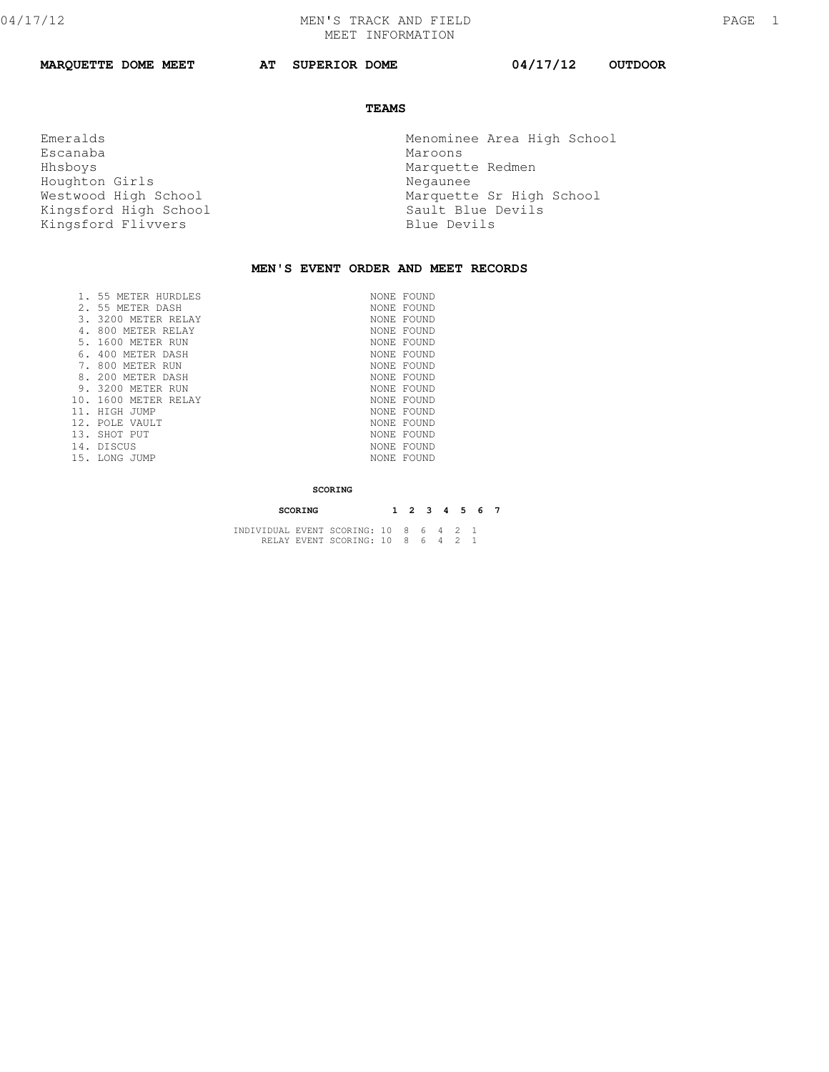**MARQUETTE DOME MEET AT SUPERIOR DOME 04/17/12 OUTDOOR** 

## **TEAMS**

Escanaba<br>Hhsboys Houghton Girls **Negaunee** Kingsford High School Sault Blue l<br>Kingsford Flivvers Blue Devils Kingsford Flivvers

 Emeralds Menominee Area High School Marquette Redmen Westwood High School and Marquette Sr High School Kingsford High School Marquette Sr High School

## **MEN'S EVENT ORDER AND MEET RECORDS**

|     | 55 METER HURDLES     | NONE FOUND |
|-----|----------------------|------------|
|     | 2. 55 METER DASH     | NONE FOUND |
| 3.  | 3200 METER RELAY     | NONE FOUND |
|     | 800 METER RELAY      | NONE FOUND |
|     | 5, 1600 METER RUN    | NONE FOUND |
| 6.  | 400 METER DASH       | NONE FOUND |
|     | 800 METER RUN        | NONE FOUND |
| 8.  | 200 METER DASH       | NONE FOUND |
| 9.  | 3200 METER RUN       | NONE FOUND |
|     | 10. 1600 METER RELAY | NONE FOUND |
| 11. | HIGH JUMP            | NONE FOUND |
| 12. | POLE VAULT           | NONE FOUND |
|     | 13. SHOT PUT         | NONE FOUND |
|     | 14. DISCUS           | NONE FOUND |
|     | 15. LONG JUMP        | NONE FOUND |
|     |                      |            |

## **SCORING**

| SCORING                                |  |  | 1 2 3 4 5 6 7 |  |
|----------------------------------------|--|--|---------------|--|
| INDIVIDUAL EVENT SCORING: 10 8 6 4 2 1 |  |  |               |  |
| RELAY EVENT SCORING: 10 8 6 4 2 1      |  |  |               |  |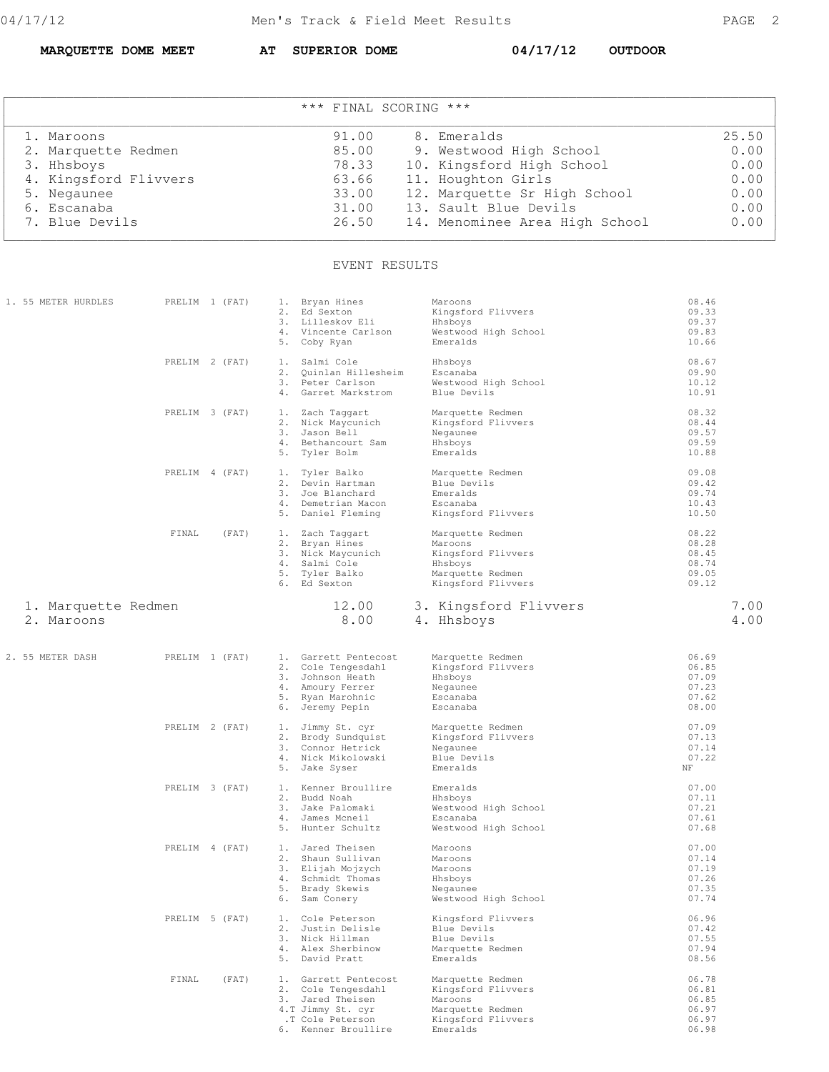**MARQUETTE DOME MEET AT SUPERIOR DOME 04/17/12 OUTDOOR** 

| *** FINAL SCORING *** |       |                                |       |  |  |  |
|-----------------------|-------|--------------------------------|-------|--|--|--|
| 1. Maroons            | 91.00 | 8. Emeralds                    | 25.50 |  |  |  |
| 2. Marquette Redmen   | 85.00 | 9. Westwood High School        | 0.00  |  |  |  |
| 3. Hhsboys            | 78.33 | 10. Kingsford High School      | 0.00  |  |  |  |
| 4. Kingsford Flivvers | 63.66 | 11. Houghton Girls             | 0.00  |  |  |  |
| 5. Negaunee           | 33.00 | 12. Marquette Sr High School   | 0.00  |  |  |  |
| 6. Escanaba           | 31.00 | 13. Sault Blue Devils          | 0.00  |  |  |  |
| 7. Blue Devils        | 26.50 | 14. Menominee Area High School | 0.00  |  |  |  |

## EVENT RESULTS

| 1. 55 METER HURDLES               | PRELIM 1 (FAT) | 1. Bryan Hines<br>2. Ed Sexton<br>3. Lilleskov Eli<br>4. Vincente Carlson<br>5. Coby Ryan                                      | Maroons<br>Kingsford Flivvers<br>Hhsboys<br>Westwood High School<br>Emeralds                            | 08.46<br>09.33<br>09.37<br>09.83<br>10.66          |
|-----------------------------------|----------------|--------------------------------------------------------------------------------------------------------------------------------|---------------------------------------------------------------------------------------------------------|----------------------------------------------------|
|                                   | PRELIM 2 (FAT) | 1. Salmi Cole<br>2. Quinlan Hillesheim<br>3. Peter Carlson<br>4. Garret Markstrom                                              | Hhsboys<br>Escanaba<br>Westwood High School<br>Blue Devils                                              | 08.67<br>09.90<br>10.12<br>10.91                   |
|                                   | PRELIM 3 (FAT) | 1. Zach Taggart<br>2. Nick Maycunich<br>3. Jason Bell<br>4. Bethancourt Sam<br>5. Tyler Bolm                                   | Marquette Redmen<br>Kingsford Flivvers<br>Negaunee<br>Hhsboys<br>Emeralds                               | 08.32<br>08.44<br>09.57<br>09.59<br>10.88          |
|                                   | PRELIM 4 (FAT) | 1. Tyler Balko<br>2. Devin Hartman<br>3. Joe Blanchard<br>4. Demetrian Macon<br>5. Daniel Fleming                              | Marquette Redmen<br>Blue Devils<br>Emeralds<br>Escanaba<br>Kingsford Flivvers                           | 09.08<br>09.42<br>09.74<br>10.43<br>10.50          |
|                                   | FINAL<br>(FAT) | 1. Zach Taggart<br>2. Bryan Hines<br>3. Nick Maycunich<br>4. Salmi Cole<br>5. Tyler Balko<br>6. Ed Sexton                      | Marquette Redmen<br>Maroons<br>Kingsford Flivvers<br>Hhsboys<br>Marquette Redmen<br>Kingsford Flivvers  | 08.22<br>08.28<br>08.45<br>08.74<br>09.05<br>09.12 |
| 1. Marquette Redmen<br>2. Maroons |                | 12.00<br>8.00                                                                                                                  | 3. Kingsford Flivvers<br>4. Hhsboys                                                                     | 7.00<br>4.00                                       |
| 2. 55 METER DASH                  | PRELIM 1 (FAT) | 1. Garrett Pentecost<br>2. Cole Tengesdahl<br>3. Johnson Heath<br>4. Amoury Ferrer<br>5. Ryan Marohnic<br>6. Jeremy Pepin      | Marquette Redmen<br>Kingsford Flivvers<br>Hhsboys<br>Negaunee<br>Escanaba<br>Escanaba                   | 06.69<br>06.85<br>07.09<br>07.23<br>07.62<br>08.00 |
|                                   | PRELIM 2 (FAT) | 1. Jimmy St. cyr<br>2. Brody Sundquist<br>3. Connor Hetrick<br>4. Nick Mikolowski<br>5. Jake Syser                             | Marquette Redmen<br>Kingsford Flivvers<br>Negaunee<br>Blue Devils<br>Emeralds                           | 07.09<br>07.13<br>07.14<br>07.22<br>ΝF             |
|                                   | PRELIM 3 (FAT) | 1. Kenner Broullire<br>2. Budd Noah<br>3. Jake Palomaki<br>4. James Mcneil<br>5. Hunter Schultz                                | Emeralds<br>Hhsboys<br>Westwood High School<br>Escanaba<br>Westwood High School                         | 07.00<br>07.11<br>07.21<br>07.61<br>07.68          |
|                                   | PRELIM 4 (FAT) | 1. Jared Theisen<br>2. Shaun Sullivan<br>3. Elijah Mojzych<br>4. Schmidt Thomas<br>5. Brady Skewis<br>6. Sam Conery            | Maroons<br>Maroons<br>Maroons<br>Hhsboys<br>Negaunee<br>Westwood High School                            | 07.00<br>07.14<br>07.19<br>07.26<br>07.35<br>07.74 |
|                                   | PRELIM 5 (FAT) | 1. Cole Peterson<br>2. Justin Delisle<br>3. Nick Hillman<br>4. Alex Sherbinow<br>5. David Pratt                                | Kingsford Flivvers<br>Blue Devils<br>Blue Devils<br>Marquette Redmen<br>Emeralds                        | 06.96<br>07.42<br>07.55<br>07.94<br>08.56          |
|                                   | FINAL<br>(FAT) | 1. Garrett Pentecost<br>2. Cole Tengesdahl<br>3. Jared Theisen<br>4.T Jimmy St. cyr<br>.T Cole Peterson<br>6. Kenner Broullire | Marquette Redmen<br>Kingsford Flivvers<br>Maroons<br>Marquette Redmen<br>Kingsford Flivvers<br>Emeralds | 06.78<br>06.81<br>06.85<br>06.97<br>06.97<br>06.98 |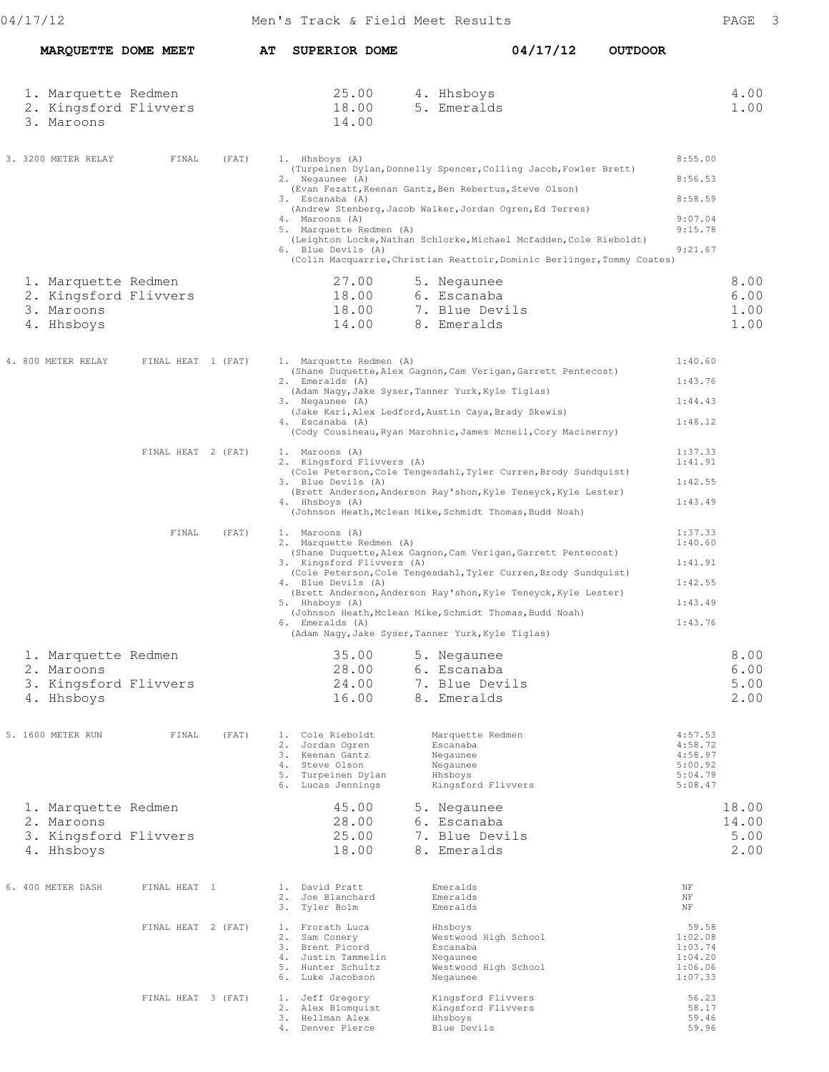|  | MARQUETTE DOME MEET                                                      |                    |       | AT SUPERIOR DOME                                                                                                                                                                                                                                                                                                                                                                                                                                                   |                                                                                             | 04/17/12 | <b>OUTDOOR</b> |                                                                |                                |
|--|--------------------------------------------------------------------------|--------------------|-------|--------------------------------------------------------------------------------------------------------------------------------------------------------------------------------------------------------------------------------------------------------------------------------------------------------------------------------------------------------------------------------------------------------------------------------------------------------------------|---------------------------------------------------------------------------------------------|----------|----------------|----------------------------------------------------------------|--------------------------------|
|  | 1. Marquette Redmen<br>2. Kingsford Flivvers<br>3. Maroons               |                    |       | 25.00<br>18.00<br>14.00                                                                                                                                                                                                                                                                                                                                                                                                                                            | 4. Hhsboys<br>5. Emeralds                                                                   |          |                |                                                                | 4.00<br>1.00                   |
|  | 3. 3200 METER RELAY                                                      | FINAL              | (FAT) | 1. Hhsboys (A)<br>(Turpeinen Dylan, Donnelly Spencer, Colling Jacob, Fowler Brett)<br>2. Negaunee (A)<br>(Evan Fezatt, Keenan Gantz, Ben Rebertus, Steve Olson)<br>3. Escanaba (A)<br>(Andrew Stenberg, Jacob Walker, Jordan Ogren, Ed Terres)<br>4. Maroons (A)<br>5. Marquette Redmen (A)<br>(Leighton Locke, Nathan Schlorke, Michael Mcfadden, Cole Rieboldt)<br>6. Blue Devils (A)<br>(Colin Macquarrie, Christian Reattoir, Dominic Berlinger, Tommy Coates) |                                                                                             |          |                | 8:55.00<br>8:56.53<br>8:58.59<br>9:07.04<br>9:15.78<br>9:21.67 |                                |
|  | 1. Marquette Redmen<br>2. Kingsford Flivvers<br>3. Maroons<br>4. Hhsboys |                    |       | 27.00<br>18.00<br>18.00<br>14.00                                                                                                                                                                                                                                                                                                                                                                                                                                   | 5. Negaunee<br>6. Escanaba<br>7. Blue Devils<br>8. Emeralds                                 |          |                |                                                                | 8.00<br>6.00<br>1.00<br>1.00   |
|  | 4. 800 METER RELAY                                                       | FINAL HEAT 1 (FAT) |       | 1. Marquette Redmen (A)<br>(Shane Duquette, Alex Gagnon, Cam Verigan, Garrett Pentecost)<br>2. Emeralds (A)<br>(Adam Naqy, Jake Syser, Tanner Yurk, Kyle Tiglas)<br>3. Negaunee (A)<br>(Jake Kari, Alex Ledford, Austin Caya, Brady Skewis)<br>4. Escanaba (A)<br>(Cody Cousineau, Ryan Marohnic, James Mcneil, Cory Macinerny)                                                                                                                                    |                                                                                             |          |                | 1:40.60<br>1:43.76<br>1:44.43<br>1:48.12                       |                                |
|  |                                                                          | FINAL HEAT 2 (FAT) |       | 1. Maroons (A)<br>2. Kingsford Flivvers (A)<br>(Cole Peterson, Cole Tengesdahl, Tyler Curren, Brody Sundquist)<br>3. Blue Devils (A)<br>(Brett Anderson, Anderson Ray'shon, Kyle Teneyck, Kyle Lester)<br>4. Hhsboys (A)<br>(Johnson Heath, Mclean Mike, Schmidt Thomas, Budd Noah)                                                                                                                                                                                |                                                                                             |          |                | 1:37.33<br>1:41.91<br>1:42.55<br>1:43.49                       |                                |
|  |                                                                          | FINAL              | (FAT) | 1. Maroons (A)<br>2. Marquette Redmen (A)<br>(Shane Duquette, Alex Gagnon, Cam Verigan, Garrett Pentecost)<br>3. Kingsford Flivvers (A)<br>(Cole Peterson, Cole Tengesdahl, Tyler Curren, Brody Sundquist)<br>4. Blue Devils (A)<br>(Brett Anderson, Anderson Ray'shon, Kyle Teneyck, Kyle Lester)<br>5. Hhsboys (A)<br>(Johnson Heath, Mclean Mike, Schmidt Thomas, Budd Noah)<br>6. Emeralds (A)<br>(Adam Nagy, Jake Syser, Tanner Yurk, Kyle Tiglas)            |                                                                                             |          |                | 1:37.33<br>1:40.60<br>1:41.91<br>1:42.55<br>1:43.49<br>1:43.76 |                                |
|  | 1. Marquette Redmen<br>2. Maroons<br>3. Kingsford Flivvers<br>4. Hhsboys |                    |       | 35.00<br>28.00<br>24.00<br>16.00                                                                                                                                                                                                                                                                                                                                                                                                                                   | 5. Negaunee<br>6. Escanaba<br>7. Blue Devils<br>8. Emeralds                                 |          |                |                                                                | 8.00<br>6.00<br>5.00<br>2.00   |
|  | 5. 1600 METER RUN                                                        | FINAL              | (FAT) | 1. Cole Rieboldt<br>2.<br>Jordan Ogren<br>3. Keenan Gantz<br>4. Steve Olson<br>5. Turpeinen Dylan<br>6. Lucas Jennings                                                                                                                                                                                                                                                                                                                                             | Marquette Redmen<br>Escanaba<br>Negaunee<br>Negaunee<br>Hhsboys<br>Kingsford Flivvers       |          |                | 4:57.53<br>4:58.72<br>4:58.97<br>5:00.92<br>5:04.79<br>5:08.47 |                                |
|  | 1. Marquette Redmen<br>2. Maroons<br>3. Kingsford Flivvers<br>4. Hhsboys |                    |       | 45.00<br>28.00<br>25.00<br>18.00                                                                                                                                                                                                                                                                                                                                                                                                                                   | 5. Negaunee<br>6. Escanaba<br>7. Blue Devils<br>8.<br>Emeralds                              |          |                |                                                                | 18.00<br>14.00<br>5.00<br>2.00 |
|  | 6. 400 METER DASH                                                        | FINAL HEAT 1       |       | 1. David Pratt<br>2. Joe Blanchard<br>3. Tyler Bolm                                                                                                                                                                                                                                                                                                                                                                                                                | Emeralds<br>Emeralds<br>Emeralds                                                            |          |                | ΝF<br>$\rm{NF}$<br>ΝF                                          |                                |
|  |                                                                          | FINAL HEAT 2 (FAT) |       | 1. Frorath Luca<br>2. Sam Conery<br>3. Brent Picord<br>4. Justin Tammelin<br>5. Hunter Schultz<br>6. Luke Jacobson                                                                                                                                                                                                                                                                                                                                                 | Hhsboys<br>Westwood High School<br>Escanaba<br>Negaunee<br>Westwood High School<br>Negaunee |          |                | 59.58<br>1:02.08<br>1:03.74<br>1:04.20<br>1:06.06<br>1:07.33   |                                |
|  |                                                                          | FINAL HEAT 3 (FAT) |       | 1. Jeff Gregory<br>2. Alex Blomquist<br>3. Hellman Alex<br>4. Denver Pierce                                                                                                                                                                                                                                                                                                                                                                                        | Kingsford Flivvers<br>Kingsford Flivvers<br>Hhsboys<br>Blue Devils                          |          |                | 56.23<br>58.17<br>59.46<br>59.96                               |                                |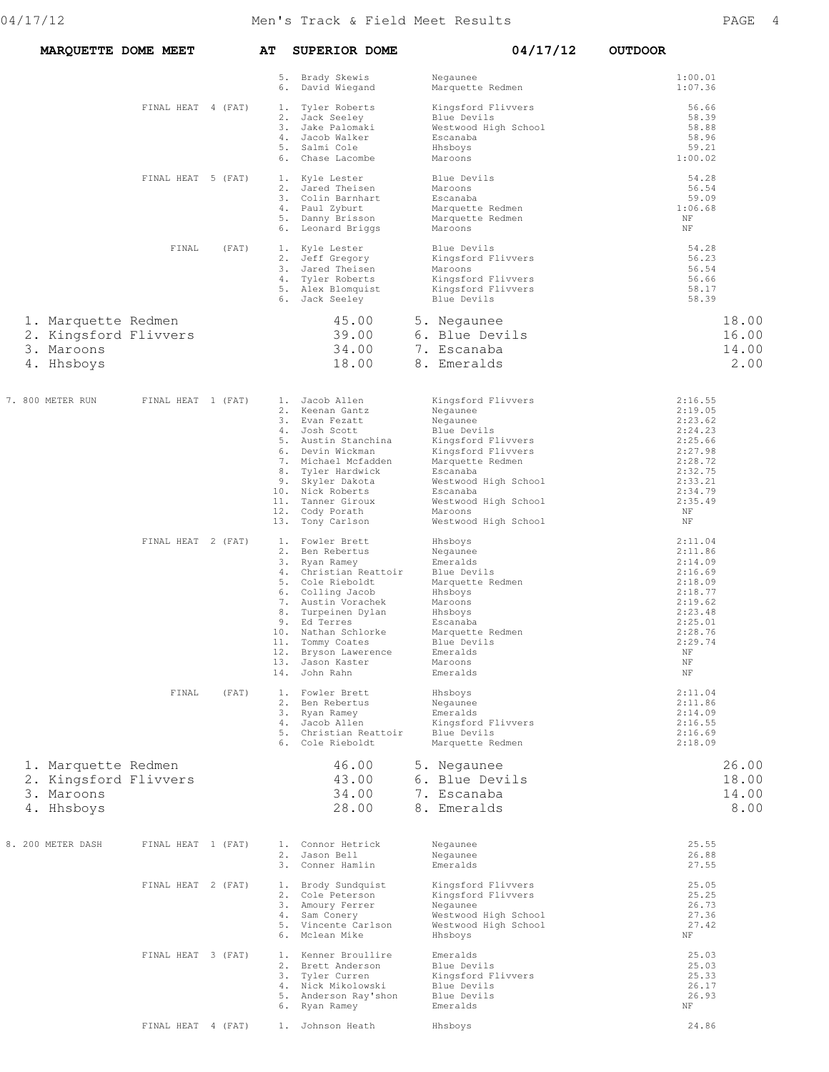| MARQUETTE DOME MEET                                                      |                    |       | AΤ       | <b>SUPERIOR DOME</b>                                                                                                                                                                                                                                                                     | 04/17/12                                                                                                                                                                                                                             | <b>OUTDOOR</b>                                                                                                                                 |                                 |
|--------------------------------------------------------------------------|--------------------|-------|----------|------------------------------------------------------------------------------------------------------------------------------------------------------------------------------------------------------------------------------------------------------------------------------------------|--------------------------------------------------------------------------------------------------------------------------------------------------------------------------------------------------------------------------------------|------------------------------------------------------------------------------------------------------------------------------------------------|---------------------------------|
|                                                                          |                    |       | 6.       | 5. Brady Skewis<br>David Wiegand                                                                                                                                                                                                                                                         | Negaunee<br>Marquette Redmen                                                                                                                                                                                                         | 1:00.01<br>1:07.36                                                                                                                             |                                 |
|                                                                          | FINAL HEAT 4 (FAT) |       | 1.<br>6. | Tyler Roberts<br>2. Jack Seeley<br>3. Jake Palomaki<br>4. Jacob Walker<br>5. Salmi Cole<br>Chase Lacombe                                                                                                                                                                                 | Kingsford Flivvers<br>Blue Devils<br>Westwood High School<br>Escanaba<br>Hhsboys<br>Maroons                                                                                                                                          | 56.66<br>58.39<br>58.88<br>58.96<br>59.21<br>1:00.02                                                                                           |                                 |
|                                                                          | FINAL HEAT 5 (FAT) |       |          | 1. Kyle Lester<br>2. Jared Theisen<br>3. Colin Barnhart<br>4. Paul Zyburt<br>5. Danny Brisson<br>6. Leonard Briggs                                                                                                                                                                       | Blue Devils<br>Maroons<br>Escanaba<br>Marquette Redmen<br>Marquette Redmen<br>Maroons                                                                                                                                                | 54.28<br>56.54<br>59.09<br>1:06.68<br>ΝF<br>$\rm{NF}$                                                                                          |                                 |
|                                                                          | FINAL              | (FAT) |          | 1. Kyle Lester<br>2. Jeff Gregory<br>3. Jared Theisen<br>4. Tyler Roberts<br>5. Alex Blomquist<br>6. Jack Seeley                                                                                                                                                                         | Blue Devils<br>Kingsford Flivvers<br>Maroons<br>Kingsford Flivvers<br>Kingsford Flivvers<br>Blue Devils                                                                                                                              | 54.28<br>56.23<br>56.54<br>56.66<br>58.17<br>58.39                                                                                             |                                 |
| 1. Marquette Redmen<br>2. Kingsford Flivvers<br>3. Maroons<br>4. Hhsboys |                    |       |          | 45.00<br>39.00<br>34.00<br>18.00                                                                                                                                                                                                                                                         | 5. Negaunee<br>6. Blue Devils<br>7. Escanaba<br>8. Emeralds                                                                                                                                                                          |                                                                                                                                                | 18.00<br>16.00<br>14.00<br>2.00 |
| 7. 800 METER RUN                                                         | FINAL HEAT 1 (FAT) |       | 13.      | 1. Jacob Allen<br>2. Keenan Gantz<br>3. Evan Fezatt<br>4. Josh Scott<br>5. Austin Stanchina<br>6. Devin Wickman<br>7. Michael Mcfadden<br>8. Tyler Hardwick<br>9. Skyler Dakota<br>10. Nick Roberts<br>11. Tanner Giroux<br>12. Cody Porath<br>Tony Carlson                              | Kingsford Flivvers<br>Negaunee<br>Negaunee<br>Blue Devils<br>Kingsford Flivvers<br>Kingsford Flivvers<br>Marquette Redmen<br>Escanaba<br>Westwood High School<br>Escanaba<br>Westwood High School<br>Maroons<br>Westwood High School | 2:16.55<br>2:19.05<br>2:23.62<br>2:24.23<br>2:25.66<br>2:27.98<br>2:28.72<br>2:32.75<br>2:33.21<br>2:34.79<br>2:35.49<br>$\rm{NF}$<br>ΝF       |                                 |
|                                                                          | FINAL HEAT 2 (FAT) |       |          | 1. Fowler Brett<br>2. Ben Rebertus<br>3. Ryan Ramey<br>4. Christian Reattoir<br>5. Cole Rieboldt<br>6. Colling Jacob<br>7. Austin Vorachek<br>8. Turpeinen Dylan<br>9. Ed Terres<br>10. Nathan Schlorke<br>11. Tommy Coates<br>12. Bryson Lawerence<br>13. Jason Kaster<br>14. John Rahn | Hhsboys<br>Negaunee<br>Emeralds<br>Blue Devils<br>Marquette Redmen<br>Hhsboys<br>Maroons<br>Hhsboys<br>Escanaba<br>Marquette Redmen<br>Blue Devils<br>Emeralds<br>Maroons<br>Emeralds                                                | 2:11.04<br>2:11.86<br>2:14.09<br>2:16.69<br>2:18.09<br>2:18.77<br>2:19.62<br>2:23.48<br>2:25.01<br>2:28.76<br>2:29.74<br>ΝF<br>$\rm{NF}$<br>ΝF |                                 |
|                                                                          | FINAL              | (FAT) |          | 1. Fowler Brett<br>2. Ben Rebertus<br>3. Ryan Ramey<br>4. Jacob Allen<br>5. Christian Reattoir<br>6. Cole Rieboldt                                                                                                                                                                       | Hhsboys<br>Negaunee<br>Emeralds<br>Kingsford Flivvers<br>Blue Devils<br>Marquette Redmen                                                                                                                                             | 2:11.04<br>2:11.86<br>2:14.09<br>2:16.55<br>2:16.69<br>2:18.09                                                                                 |                                 |
| 1. Marquette Redmen<br>2. Kingsford Flivvers<br>3. Maroons<br>4. Hhsboys |                    |       |          | 46.00<br>43.00<br>34.00<br>28.00                                                                                                                                                                                                                                                         | 5. Negaunee<br>6. Blue Devils<br>7. Escanaba<br>8. Emeralds                                                                                                                                                                          |                                                                                                                                                | 26.00<br>18.00<br>14.00<br>8.00 |
| 8. 200 METER DASH                                                        | FINAL HEAT 1 (FAT) |       |          | 1. Connor Hetrick<br>2. Jason Bell<br>3. Conner Hamlin                                                                                                                                                                                                                                   | Negaunee<br>Negaunee<br>Emeralds                                                                                                                                                                                                     | 25.55<br>26.88<br>27.55                                                                                                                        |                                 |
|                                                                          | FINAL HEAT 2 (FAT) |       |          | 1. Brody Sundquist<br>2. Cole Peterson<br>3. Amoury Ferrer<br>4. Sam Conery<br>5. Vincente Carlson<br>6. Mclean Mike                                                                                                                                                                     | Kingsford Flivvers<br>Kingsford Flivvers<br>Negaunee<br>Westwood High School<br>Westwood High School<br>Hhsboys                                                                                                                      | 25.05<br>25.25<br>26.73<br>27.36<br>27.42<br>ΝF                                                                                                |                                 |
|                                                                          | FINAL HEAT 3 (FAT) |       |          | 1. Kenner Broullire<br>2. Brett Anderson<br>3. Tyler Curren<br>4. Nick Mikolowski<br>5. Anderson Ray'shon<br>6. Ryan Ramey                                                                                                                                                               | Emeralds<br>Blue Devils<br>Kingsford Flivvers<br>Blue Devils<br>Blue Devils<br>Emeralds                                                                                                                                              | 25.03<br>25.03<br>25.33<br>26.17<br>26.93<br>ΝF                                                                                                |                                 |
|                                                                          | FINAL HEAT 4 (FAT) |       |          | 1. Johnson Heath                                                                                                                                                                                                                                                                         | Hhsboys                                                                                                                                                                                                                              | 24.86                                                                                                                                          |                                 |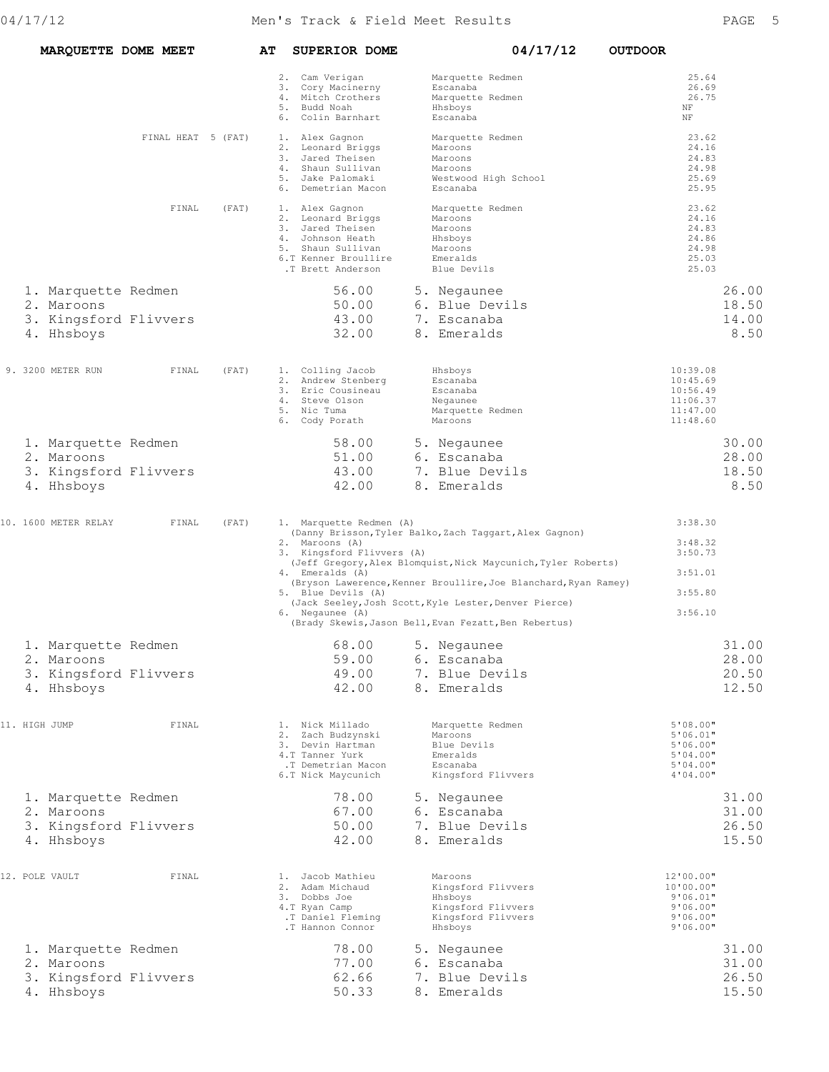|  |                                                                                                                                                                                                                          |                                                                                                                                                                                                                                                                     | AΤ                 |                                                              | 04/17/12                                                                                                                                                                                                                                                                                                                                                                                                                                                                                                                                                                                                                                                                                                                                                                                                                                                                                                                                                         | <b>OUTDOOR</b>                                                                                                                                                                                                                                                                                                                                                                                                                          |
|--|--------------------------------------------------------------------------------------------------------------------------------------------------------------------------------------------------------------------------|---------------------------------------------------------------------------------------------------------------------------------------------------------------------------------------------------------------------------------------------------------------------|--------------------|--------------------------------------------------------------|------------------------------------------------------------------------------------------------------------------------------------------------------------------------------------------------------------------------------------------------------------------------------------------------------------------------------------------------------------------------------------------------------------------------------------------------------------------------------------------------------------------------------------------------------------------------------------------------------------------------------------------------------------------------------------------------------------------------------------------------------------------------------------------------------------------------------------------------------------------------------------------------------------------------------------------------------------------|-----------------------------------------------------------------------------------------------------------------------------------------------------------------------------------------------------------------------------------------------------------------------------------------------------------------------------------------------------------------------------------------------------------------------------------------|
|  |                                                                                                                                                                                                                          |                                                                                                                                                                                                                                                                     |                    |                                                              | Marquette Redmen<br>Escanaba<br>Marquette Redmen<br>Hhsboys<br>Escanaba                                                                                                                                                                                                                                                                                                                                                                                                                                                                                                                                                                                                                                                                                                                                                                                                                                                                                          | 25.64<br>26.69<br>26.75<br>ΝF<br>ΝF                                                                                                                                                                                                                                                                                                                                                                                                     |
|  |                                                                                                                                                                                                                          |                                                                                                                                                                                                                                                                     |                    |                                                              | Marquette Redmen<br>Maroons<br>Maroons<br>Maroons<br>Westwood High School<br>Escanaba                                                                                                                                                                                                                                                                                                                                                                                                                                                                                                                                                                                                                                                                                                                                                                                                                                                                            | 23.62<br>24.16<br>24.83<br>24.98<br>25.69<br>25.95                                                                                                                                                                                                                                                                                                                                                                                      |
|  | FINAL                                                                                                                                                                                                                    | (FAT)                                                                                                                                                                                                                                                               |                    |                                                              | Marquette Redmen<br>Maroons<br>Maroons<br>Hhsboys<br>Maroons<br>Emeralds<br>Blue Devils                                                                                                                                                                                                                                                                                                                                                                                                                                                                                                                                                                                                                                                                                                                                                                                                                                                                          | 23.62<br>24.16<br>24.83<br>24.86<br>24.98<br>25.03<br>25.03                                                                                                                                                                                                                                                                                                                                                                             |
|  |                                                                                                                                                                                                                          |                                                                                                                                                                                                                                                                     |                    |                                                              | 5. Negaunee                                                                                                                                                                                                                                                                                                                                                                                                                                                                                                                                                                                                                                                                                                                                                                                                                                                                                                                                                      | 26.00                                                                                                                                                                                                                                                                                                                                                                                                                                   |
|  |                                                                                                                                                                                                                          |                                                                                                                                                                                                                                                                     |                    |                                                              | 7. Escanaba<br>8. Emeralds                                                                                                                                                                                                                                                                                                                                                                                                                                                                                                                                                                                                                                                                                                                                                                                                                                                                                                                                       | 18.50<br>14.00<br>8.50                                                                                                                                                                                                                                                                                                                                                                                                                  |
|  | FINAL                                                                                                                                                                                                                    | (FAT)                                                                                                                                                                                                                                                               |                    |                                                              | Hhsboys<br>Escanaba<br>Escanaba<br>Negaunee<br>Marquette Redmen<br>Maroons                                                                                                                                                                                                                                                                                                                                                                                                                                                                                                                                                                                                                                                                                                                                                                                                                                                                                       | 10:39.08<br>10:45.69<br>10:56.49<br>11:06.37<br>11:47.00<br>11:48.60                                                                                                                                                                                                                                                                                                                                                                    |
|  |                                                                                                                                                                                                                          |                                                                                                                                                                                                                                                                     |                    |                                                              | 5. Negaunee                                                                                                                                                                                                                                                                                                                                                                                                                                                                                                                                                                                                                                                                                                                                                                                                                                                                                                                                                      | 30.00                                                                                                                                                                                                                                                                                                                                                                                                                                   |
|  |                                                                                                                                                                                                                          |                                                                                                                                                                                                                                                                     |                    |                                                              | 7. Blue Devils<br>8. Emeralds                                                                                                                                                                                                                                                                                                                                                                                                                                                                                                                                                                                                                                                                                                                                                                                                                                                                                                                                    | 28.00<br>18.50<br>8.50                                                                                                                                                                                                                                                                                                                                                                                                                  |
|  | FINAL                                                                                                                                                                                                                    | (FAT)                                                                                                                                                                                                                                                               |                    |                                                              |                                                                                                                                                                                                                                                                                                                                                                                                                                                                                                                                                                                                                                                                                                                                                                                                                                                                                                                                                                  | 3:38.30                                                                                                                                                                                                                                                                                                                                                                                                                                 |
|  |                                                                                                                                                                                                                          |                                                                                                                                                                                                                                                                     |                    |                                                              |                                                                                                                                                                                                                                                                                                                                                                                                                                                                                                                                                                                                                                                                                                                                                                                                                                                                                                                                                                  | 3:48.32<br>3:50.73<br>3:51.01<br>3:55.80                                                                                                                                                                                                                                                                                                                                                                                                |
|  |                                                                                                                                                                                                                          |                                                                                                                                                                                                                                                                     |                    |                                                              |                                                                                                                                                                                                                                                                                                                                                                                                                                                                                                                                                                                                                                                                                                                                                                                                                                                                                                                                                                  | 3:56.10                                                                                                                                                                                                                                                                                                                                                                                                                                 |
|  |                                                                                                                                                                                                                          |                                                                                                                                                                                                                                                                     |                    |                                                              | 5. Negaunee                                                                                                                                                                                                                                                                                                                                                                                                                                                                                                                                                                                                                                                                                                                                                                                                                                                                                                                                                      | 31.00                                                                                                                                                                                                                                                                                                                                                                                                                                   |
|  |                                                                                                                                                                                                                          |                                                                                                                                                                                                                                                                     |                    |                                                              | 6. Escanaba                                                                                                                                                                                                                                                                                                                                                                                                                                                                                                                                                                                                                                                                                                                                                                                                                                                                                                                                                      | 28.00<br>20.50                                                                                                                                                                                                                                                                                                                                                                                                                          |
|  |                                                                                                                                                                                                                          |                                                                                                                                                                                                                                                                     |                    |                                                              | 8. Emeralds                                                                                                                                                                                                                                                                                                                                                                                                                                                                                                                                                                                                                                                                                                                                                                                                                                                                                                                                                      | 12.50                                                                                                                                                                                                                                                                                                                                                                                                                                   |
|  | FINAL                                                                                                                                                                                                                    |                                                                                                                                                                                                                                                                     |                    |                                                              | Marquette Redmen<br>Maroons<br>Blue Devils<br>Emeralds<br>Escanaba<br>Kingsford Flivvers                                                                                                                                                                                                                                                                                                                                                                                                                                                                                                                                                                                                                                                                                                                                                                                                                                                                         | 5'08.00"<br>5'06.01"<br>5'06.00"<br>5'04.00"<br>5'04.00"<br>4'04.00"                                                                                                                                                                                                                                                                                                                                                                    |
|  |                                                                                                                                                                                                                          |                                                                                                                                                                                                                                                                     |                    |                                                              | 5. Negaunee<br>6. Escanaba                                                                                                                                                                                                                                                                                                                                                                                                                                                                                                                                                                                                                                                                                                                                                                                                                                                                                                                                       | 31.00<br>31.00                                                                                                                                                                                                                                                                                                                                                                                                                          |
|  |                                                                                                                                                                                                                          |                                                                                                                                                                                                                                                                     |                    |                                                              | 7. Blue Devils<br>8. Emeralds                                                                                                                                                                                                                                                                                                                                                                                                                                                                                                                                                                                                                                                                                                                                                                                                                                                                                                                                    | 26.50<br>15.50                                                                                                                                                                                                                                                                                                                                                                                                                          |
|  | FINAL                                                                                                                                                                                                                    |                                                                                                                                                                                                                                                                     |                    |                                                              | Maroons<br>Kingsford Flivvers<br>Hhsboys<br>Kingsford Flivvers<br>Kingsford Flivvers<br>Hhsboys                                                                                                                                                                                                                                                                                                                                                                                                                                                                                                                                                                                                                                                                                                                                                                                                                                                                  | 12'00.00"<br>10'00.00"<br>9'06.01"<br>9'06.00"<br>9'06.00"<br>9'06.00"                                                                                                                                                                                                                                                                                                                                                                  |
|  |                                                                                                                                                                                                                          |                                                                                                                                                                                                                                                                     |                    |                                                              | 5. Negaunee                                                                                                                                                                                                                                                                                                                                                                                                                                                                                                                                                                                                                                                                                                                                                                                                                                                                                                                                                      | 31.00                                                                                                                                                                                                                                                                                                                                                                                                                                   |
|  |                                                                                                                                                                                                                          |                                                                                                                                                                                                                                                                     |                    |                                                              | 7. Blue Devils<br>8. Emeralds                                                                                                                                                                                                                                                                                                                                                                                                                                                                                                                                                                                                                                                                                                                                                                                                                                                                                                                                    | 31.00<br>26.50<br>15.50                                                                                                                                                                                                                                                                                                                                                                                                                 |
|  | 2. Maroons<br>4. Hhsboys<br>9. 3200 METER RUN<br>2. Maroons<br>4. Hhsboys<br>10. 1600 METER RELAY<br>2. Maroons<br>4. Hhsboys<br>11. HIGH JUMP<br>2. Maroons<br>4. Hhsboys<br>12. POLE VAULT<br>2. Maroons<br>4. Hhsboys | MARQUETTE DOME MEET<br>1. Marquette Redmen<br>3. Kingsford Flivvers<br>1. Marquette Redmen<br>3. Kingsford Flivvers<br>1. Marquette Redmen<br>3. Kingsford Flivvers<br>1. Marquette Redmen<br>3. Kingsford Flivvers<br>1. Marquette Redmen<br>3. Kingsford Flivvers | FINAL HEAT 5 (FAT) | 5. Budd Noah<br>5. Nic Tuma<br>3. Dobbs Joe<br>4.T Ryan Camp | <b>SUPERIOR DOME</b><br>2. Cam Verigan<br>3. Cory Macinerny<br>4. Mitch Crothers<br>6. Colin Barnhart<br>1. Alex Gagnon<br>2. Leonard Briggs<br>3. Jared Theisen<br>4. Shaun Sullivan<br>5. Jake Palomaki<br>6. Demetrian Macon<br>1. Alex Gagnon<br>2. Leonard Briggs<br>3. Jared Theisen<br>4. Johnson Heath<br>5. Shaun Sullivan<br>6.T Kenner Broullire<br>.T Brett Anderson<br>56.00<br>50.00<br>43.00<br>32.00<br>1. Colling Jacob<br>2. Andrew Stenberg<br>3. Eric Cousineau<br>4. Steve Olson<br>6. Cody Porath<br>58.00<br>51.00<br>43.00<br>42.00<br>2. Maroons (A)<br>4. Emeralds (A)<br>5. Blue Devils (A)<br>6. Negaunee (A)<br>68.00<br>59.00<br>49.00<br>42.00<br>1. Nick Millado<br>2. Zach Budzynski<br>3. Devin Hartman<br>4.T Tanner Yurk<br>.T Demetrian Macon<br>6.T Nick Maycunich<br>78.00<br>67.00<br>50.00<br>42.00<br>1. Jacob Mathieu<br>2. Adam Michaud<br>.T Daniel Fleming<br>.T Hannon Connor<br>78.00<br>77.00<br>62.66<br>50.33 | 6. Blue Devils<br>6. Escanaba<br>1. Marquette Redmen (A)<br>(Danny Brisson, Tyler Balko, Zach Taggart, Alex Gagnon)<br>3. Kingsford Flivvers (A)<br>(Jeff Gregory, Alex Blomquist, Nick Maycunich, Tyler Roberts)<br>(Bryson Lawerence, Kenner Broullire, Joe Blanchard, Ryan Ramey)<br>(Jack Seeley, Josh Scott, Kyle Lester, Denver Pierce)<br>(Brady Skewis, Jason Bell, Evan Fezatt, Ben Rebertus)<br>7. Blue Devils<br>6. Escanaba |